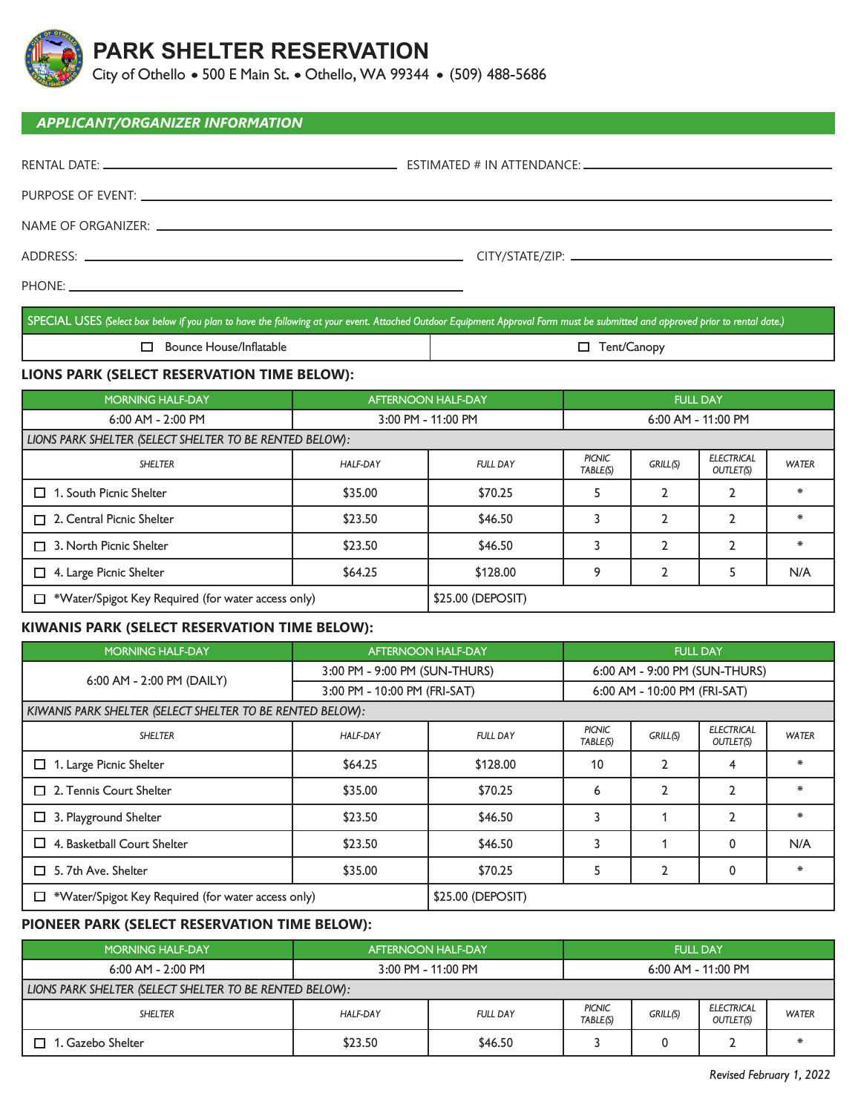

# **PARK SHELTER RESERVATION**

City of Othello • 500 E Main St. • Othello, WA 99344 • (509) 488-5686

#### *APPLICANT/ORGANIZER INFORMATION*

| ADDRESS: ADDRESS:                                                                                             |  |
|---------------------------------------------------------------------------------------------------------------|--|
| PHONE: <u>the contract of the contract of the contract of the contract of the contract of the contract of</u> |  |

SPECIAL USES *(Select box below if you plan to have the following at your event. Attached Outdoor Equipment Approval Form must be submitted and approved prior to rental date.)*

 $\Box$  Bounce House/Inflatable  $\Box$  Tent/Canopy

### **LIONS PARK (SELECT RESERVATION TIME BELOW):**

| <b>MORNING HALF-DAY</b>                                 | <b>AFTERNOON HALF-DAY</b> |                   | <b>FULL DAY</b>           |          |                                |              |
|---------------------------------------------------------|---------------------------|-------------------|---------------------------|----------|--------------------------------|--------------|
| 6:00 AM - 2:00 PM                                       | 3:00 PM - 11:00 PM        |                   | $6:00$ AM - 11:00 PM      |          |                                |              |
| LIONS PARK SHELTER (SELECT SHELTER TO BE RENTED BELOW): |                           |                   |                           |          |                                |              |
| <b>SHELTER</b>                                          | HALF-DAY                  | <b>FULL DAY</b>   | <b>PICNIC</b><br>TABLE(S) | GRILL(S) | <b>ELECTRICAL</b><br>OUTLET(S) | <b>WATER</b> |
| 1. South Picnic Shelter<br>┑                            | \$35.00                   | \$70.25           |                           |          |                                | 米            |
| $\Box$ 2. Central Picnic Shelter                        | \$23.50                   | \$46.50           |                           | C        | 2                              | 害            |
| 3. North Picnic Shelter<br>П                            | \$23.50                   | \$46.50           |                           |          | $\mathfrak{p}$                 | *            |
| 4. Large Picnic Shelter<br>□                            | \$64.25                   | \$128.00          | $\circ$                   | C        |                                | N/A          |
| *Water/Spigot Key Required (for water access only)<br>□ |                           | \$25.00 (DEPOSIT) |                           |          |                                |              |

### **KIWANIS PARK (SELECT RESERVATION TIME BELOW):**

| <b>MORNING HALF-DAY</b>                                   | <b>AFTERNOON HALF-DAY</b>     |                   | <b>FULL DAY</b>               |                |                                |              |
|-----------------------------------------------------------|-------------------------------|-------------------|-------------------------------|----------------|--------------------------------|--------------|
| 6:00 AM - 2:00 PM (DAILY)                                 | 3:00 PM - 9:00 PM (SUN-THURS) |                   | 6:00 AM - 9:00 PM (SUN-THURS) |                |                                |              |
|                                                           | 3:00 PM - 10:00 PM (FRI-SAT)  |                   | 6:00 AM - 10:00 PM (FRI-SAT)  |                |                                |              |
| KIWANIS PARK SHELTER (SELECT SHELTER TO BE RENTED BELOW): |                               |                   |                               |                |                                |              |
| <b>SHELTER</b>                                            | <b>HALF-DAY</b>               | <b>FULL DAY</b>   | PICNIC<br>TABLE(S)            | GRILL(S)       | <b>ELECTRICAL</b><br>OUTLET(S) | <b>WATER</b> |
| 1. Large Picnic Shelter<br>□                              | \$64.25                       | \$128.00          | 10                            | $\mathbf{2}$   | 4                              | *            |
| $\Box$ 2. Tennis Court Shelter                            | \$35.00                       | \$70.25           | 6                             | $\overline{2}$ | $\overline{2}$                 | ∗            |
| 3. Playground Shelter<br>□                                | \$23.50                       | \$46.50           | 3                             |                | 2                              | ∗            |
| 4. Basketball Court Shelter<br>□                          | \$23.50                       | \$46.50           | 3                             |                | 0                              | N/A          |
| 5. 7th Ave. Shelter<br>П                                  | \$35.00                       | \$70.25           |                               | $\mathfrak{p}$ | $\mathbf{0}$                   | *            |
| *Water/Spigot Key Required (for water access only)<br>□   |                               | \$25.00 (DEPOSIT) |                               |                |                                |              |

### **PIONEER PARK (SELECT RESERVATION TIME BELOW):**

| <b>MORNING HALF-DAY</b>                                 | <b>AFTERNOON HALF-DAY</b> |                 | <b>FULL DAY</b>    |          |                                |              |
|---------------------------------------------------------|---------------------------|-----------------|--------------------|----------|--------------------------------|--------------|
| 6:00 AM - 2:00 PM                                       | 3:00 PM - 11:00 PM        |                 | 6:00 AM - 11:00 PM |          |                                |              |
| LIONS PARK SHELTER (SELECT SHELTER TO BE RENTED BELOW): |                           |                 |                    |          |                                |              |
| <b>SHELTER</b>                                          | HALF-DAY                  | <b>FULL DAY</b> | PICNIC<br>TABLE(S) | GRILL(S) | <b>ELECTRICAL</b><br>OUTLET(S) | <b>WATER</b> |
| . Gazebo Shelter                                        | \$23.50                   | \$46.50         |                    |          |                                |              |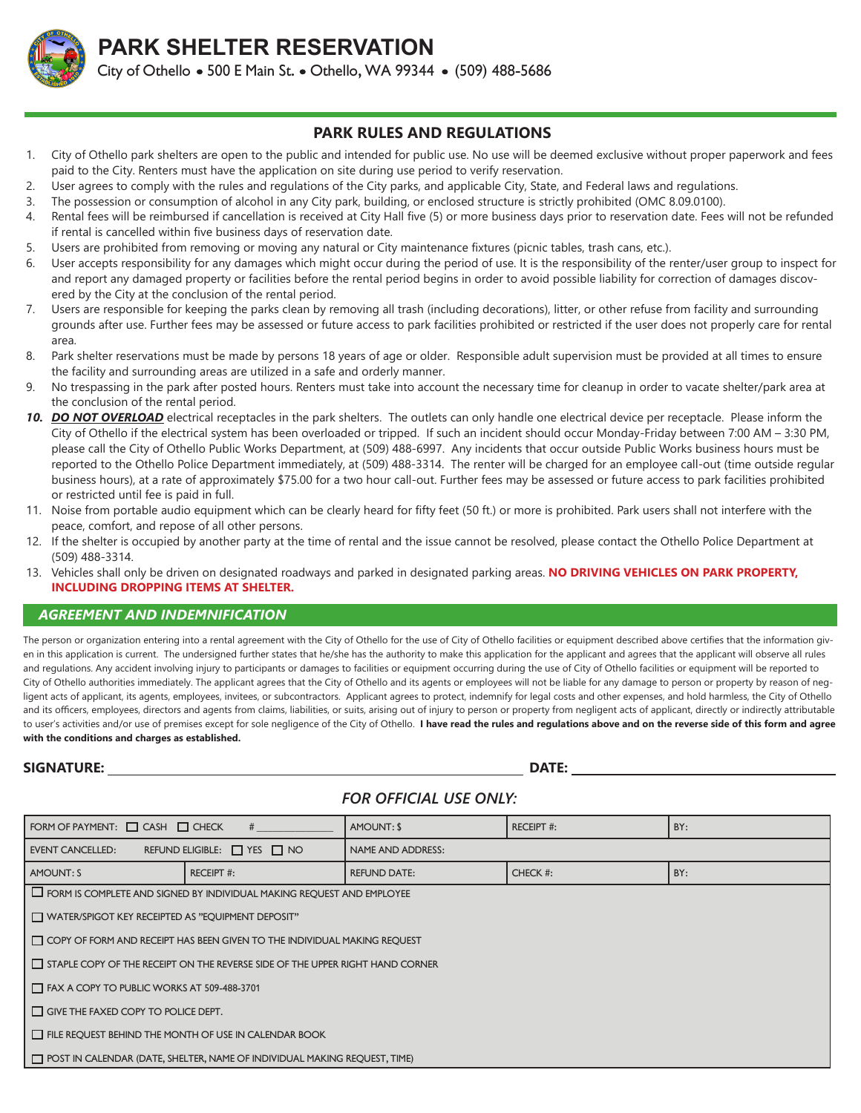

**PARK SHELTER RESERVATION** City of Othello • 500 E Main St. • Othello, WA 99344 • (509) 488-5686

### **PARK RULES AND REGULATIONS**

- 1. City of Othello park shelters are open to the public and intended for public use. No use will be deemed exclusive without proper paperwork and fees paid to the City. Renters must have the application on site during use period to verify reservation.
- 2. User agrees to comply with the rules and regulations of the City parks, and applicable City, State, and Federal laws and regulations.
- 3. The possession or consumption of alcohol in any City park, building, or enclosed structure is strictly prohibited (OMC 8.09.0100).
- 4. Rental fees will be reimbursed if cancellation is received at City Hall five (5) or more business days prior to reservation date. Fees will not be refunded if rental is cancelled within five business days of reservation date.
- 5. Users are prohibited from removing or moving any natural or City maintenance fixtures (picnic tables, trash cans, etc.).
- 6. User accepts responsibility for any damages which might occur during the period of use. It is the responsibility of the renter/user group to inspect for and report any damaged property or facilities before the rental period begins in order to avoid possible liability for correction of damages discovered by the City at the conclusion of the rental period.
- 7. Users are responsible for keeping the parks clean by removing all trash (including decorations), litter, or other refuse from facility and surrounding grounds after use. Further fees may be assessed or future access to park facilities prohibited or restricted if the user does not properly care for rental area.
- 8. Park shelter reservations must be made by persons 18 years of age or older. Responsible adult supervision must be provided at all times to ensure the facility and surrounding areas are utilized in a safe and orderly manner.
- 9. No trespassing in the park after posted hours. Renters must take into account the necessary time for cleanup in order to vacate shelter/park area at the conclusion of the rental period.
- *10. DO NOT OVERLOAD* electrical receptacles in the park shelters. The outlets can only handle one electrical device per receptacle. Please inform the City of Othello if the electrical system has been overloaded or tripped. If such an incident should occur Monday-Friday between 7:00 AM – 3:30 PM, please call the City of Othello Public Works Department, at (509) 488-6997. Any incidents that occur outside Public Works business hours must be reported to the Othello Police Department immediately, at (509) 488-3314. The renter will be charged for an employee call-out (time outside regular business hours), at a rate of approximately \$75.00 for a two hour call-out. Further fees may be assessed or future access to park facilities prohibited or restricted until fee is paid in full.
- 11. Noise from portable audio equipment which can be clearly heard for fifty feet (50 ft.) or more is prohibited. Park users shall not interfere with the peace, comfort, and repose of all other persons.
- 12. If the shelter is occupied by another party at the time of rental and the issue cannot be resolved, please contact the Othello Police Department at (509) 488-3314.
- 13. Vehicles shall only be driven on designated roadways and parked in designated parking areas. **NO DRIVING VEHICLES ON PARK PROPERTY, INCLUDING DROPPING ITEMS AT SHELTER.**

#### *AGREEMENT AND INDEMNIFICATION*

The person or organization entering into a rental agreement with the City of Othello for the use of City of Othello facilities or equipment described above certifies that the information given in this application is current. The undersigned further states that he/she has the authority to make this application for the applicant and agrees that the applicant will observe all rules and regulations. Any accident involving injury to participants or damages to facilities or equipment occurring during the use of City of Othello facilities or equipment will be reported to City of Othello authorities immediately. The applicant agrees that the City of Othello and its agents or employees will not be liable for any damage to person or property by reason of negligent acts of applicant, its agents, employees, invitees, or subcontractors. Applicant agrees to protect, indemnify for legal costs and other expenses, and hold harmless, the City of Othello and its officers, employees, directors and agents from claims, liabilities, or suits, arising out of injury to person or property from negligent acts of applicant, directly or indirectly attributable to user's activities and/or use of premises except for sole negligence of the City of Othello. I have read the rules and regulations above and on the reverse side of this form and agree **with the conditions and charges as established.**

#### **SIGNATURE: DATE:**

## *FOR OFFICIAL USE ONLY:*

| FORM OF PAYMENT: $\Box$ CASH $\Box$ CHECK                                            | #                                                                               | AMOUNT: \$          | <b>RECEIPT #:</b> | BY: |  |  |
|--------------------------------------------------------------------------------------|---------------------------------------------------------------------------------|---------------------|-------------------|-----|--|--|
|                                                                                      |                                                                                 |                     |                   |     |  |  |
| <b>EVENT CANCELLED:</b>                                                              | REFUND ELIGIBLE: $\Box$ YES $\Box$ NO                                           | NAME AND ADDRESS:   |                   |     |  |  |
| AMOUNT: S                                                                            | <b>RECEIPT #:</b>                                                               | <b>REFUND DATE:</b> | CHECK #:          | BY: |  |  |
|                                                                                      | <b>ID</b> FORM IS COMPLETE AND SIGNED BY INDIVIDUAL MAKING REQUEST AND EMPLOYEE |                     |                   |     |  |  |
| WATER/SPIGOT KEY RECEIPTED AS "EQUIPMENT DEPOSIT"                                    |                                                                                 |                     |                   |     |  |  |
| COPY OF FORM AND RECEIPT HAS BEEN GIVEN TO THE INDIVIDUAL MAKING REQUEST             |                                                                                 |                     |                   |     |  |  |
| $\Box$ STAPLE COPY OF THE RECEIPT ON THE REVERSE SIDE OF THE UPPER RIGHT HAND CORNER |                                                                                 |                     |                   |     |  |  |
| FAX A COPY TO PUBLIC WORKS AT 509-488-3701                                           |                                                                                 |                     |                   |     |  |  |
| $\Box$ GIVE THE FAXED COPY TO POLICE DEPT.                                           |                                                                                 |                     |                   |     |  |  |
| $\Box$ FILE REQUEST BEHIND THE MONTH OF USE IN CALENDAR BOOK                         |                                                                                 |                     |                   |     |  |  |
| T POST IN CALENDAR (DATE, SHELTER, NAME OF INDIVIDUAL MAKING REQUEST, TIME)          |                                                                                 |                     |                   |     |  |  |